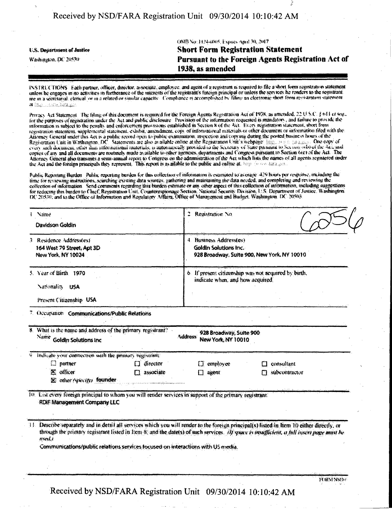## Received by NSD/FARA Registration Unit 09/30/2014 10:10:42 AM

OMB Nov.1124-6005, Expires April 30, 2017 **Short Form Registration Statement U.S. Department of Justice** Pursuant to the Foreign Agents Registration Act of Washington, DC 20530 1938, as amended

INSTRUCTIONS Each partner, officer, director, associate, employee, and agent of a registrant is required to file a short form registration statement unless he engages in no activities in furtherance of the interests of the registrant's foreign principal or unless the services he renders to the registrant. are in a secretarial, elerical or in a related or similar capacity. Compliance is accomplished by filing an electronic short form registration statement at hunder systems are

Privacy Act Statement. The filing of this document is required for the Foreign Agents Registration Act of 1938, as amended, 22 U.S.C. § 644 et seq., for the purposes of registration under the Act and public disclosure. Provision of the information requested is mandatory, and failure to provide the information is subject to the penalty and enforcement provisions establi registration statement, supplemental statement, exhibit, amendment, copy of informational materials or other document or information filed with the Allomey General under this Act is a public record open to public examination, inspection and copy me during the posted business hours of the<br>Registration Unit in Washington, DC. Statements are also available online at the copies of any and all documents are routinely made available to other agencies, departments and Congress pursuant to Section 6(c) of the Act. The Attorney General also transmits a semi-annual report to Congress on the administration of the Act which lists the names of all agents registered under the Act and the foreign principals they represent. This report is avail

Public Reporting Burden. Public reporting burden for this collection of information is estimated to average :429 hours per response, including the time for reviewing instructions, searching existing data sources, gathering and maintaining the data needed, and completing and reviewing the collection of information. Send comments regarding this burden estimate or any o for reducing this burden to Cluef, Registration Unit, Counterespionage Section. National Security Division, U.S. Department of Justice, Washington. DC 20530; and to the Office of Information and Regulatory Affairs, Office of Management and Budget. Washington, DC 20503.

| Name                                                                                                                                                | Registration No.                                                                                                                                                                                                                                                                      |
|-----------------------------------------------------------------------------------------------------------------------------------------------------|---------------------------------------------------------------------------------------------------------------------------------------------------------------------------------------------------------------------------------------------------------------------------------------|
| Davidson Goldin<br>3 Residence Address(es)<br>164 West 79 Street, Apt 3D<br>New York, NY 10024                                                      | 4. Business Address(es)<br>Goldin Solutions Inc.<br>928 Broadway, Suite 900, New York, NY 10010                                                                                                                                                                                       |
| 5. Year of Birth 1970<br>Nationality.<br><b>USA</b><br>Present Citizenship USA                                                                      | 6. If present citizenship was not acquired by birth,<br>indicate when, and how acquired.                                                                                                                                                                                              |
| 7. Occupation Communications/Public Relations                                                                                                       |                                                                                                                                                                                                                                                                                       |
| 8. What is the name and address of the primary registrant?<br>$\frac{Name}{Name}$ Goldin Solutions Inc.                                             | 928 Broadway, Suite 900<br><b>Address</b><br>New York, NY 10010                                                                                                                                                                                                                       |
| 9 Indicate your connection with the primary registrant.<br>$\Box$ director<br>partner<br>$\Sigma$ officer<br>associate<br>X other (viectify founder | employee<br>consultant<br>subcontractor<br>agent<br>М                                                                                                                                                                                                                                 |
| 10. List every foreign principal to whom you will render services in support of the primary registrant.<br><b>RDIF Management Company LLC</b>       |                                                                                                                                                                                                                                                                                       |
| used.)<br>Communications/public relations services focused on interactions with US media.                                                           | 11. Describe separately and in detail all services which you will render to the foreign principal(s) listed in Item 10 either directly, or<br>through the primary registrant listed in Item 8, and the datets) of such services. (If space is maifficient, a full insert page must be |
|                                                                                                                                                     |                                                                                                                                                                                                                                                                                       |

FORM NSD-

Received by NSD/FARA Registration Unit 09/30/2014 10:10:42 AM